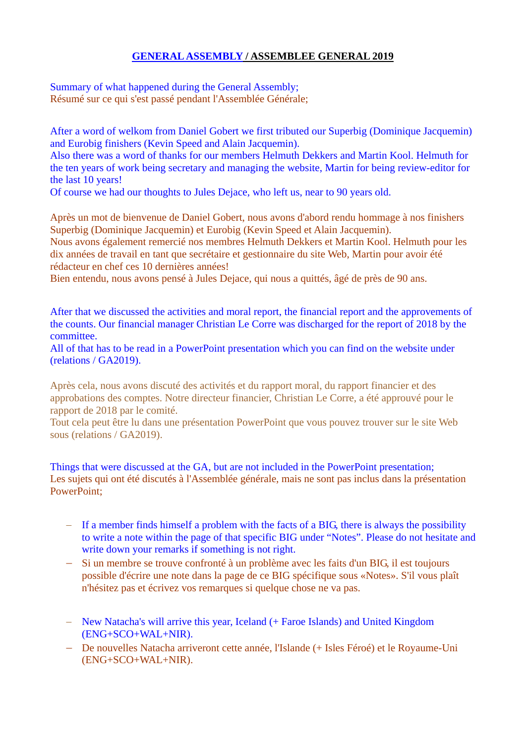## **GENERAL ASSEMBLY / ASSEMBLEE GENERAL 2019**

Summary of what happened during the General Assembly; Résumé sur ce qui s'est passé pendant l'Assemblée Générale;

After a word of welkom from Daniel Gobert we first tributed our Superbig (Dominique Jacquemin) and Eurobig finishers (Kevin Speed and Alain Jacquemin).

Also there was a word of thanks for our members Helmuth Dekkers and Martin Kool. Helmuth for the ten years of work being secretary and managing the website, Martin for being review-editor for the last 10 years!

Of course we had our thoughts to Jules Dejace, who left us, near to 90 years old.

Après un mot de bienvenue de Daniel Gobert, nous avons d'abord rendu hommage à nos finishers Superbig (Dominique Jacquemin) et Eurobig (Kevin Speed et Alain Jacquemin). Nous avons également remercié nos membres Helmuth Dekkers et Martin Kool. Helmuth pour les dix années de travail en tant que secrétaire et gestionnaire du site Web, Martin pour avoir été rédacteur en chef ces 10 dernières années!

Bien entendu, nous avons pensé à Jules Dejace, qui nous a quittés, âgé de près de 90 ans.

After that we discussed the activities and moral report, the financial report and the approvements of the counts. Our financial manager Christian Le Corre was discharged for the report of 2018 by the committee.

All of that has to be read in a PowerPoint presentation which you can find on the website under (relations / GA2019).

Après cela, nous avons discuté des activités et du rapport moral, du rapport financier et des approbations des comptes. Notre directeur financier, Christian Le Corre, a été approuvé pour le rapport de 2018 par le comité.

Tout cela peut être lu dans une présentation PowerPoint que vous pouvez trouver sur le site Web sous (relations / GA2019).

Things that were discussed at the GA, but are not included in the PowerPoint presentation; Les sujets qui ont été discutés à l'Assemblée générale, mais ne sont pas inclus dans la présentation PowerPoint;

- If a member finds himself a problem with the facts of a BIG, there is always the possibility to write a note within the page of that specific BIG under "Notes". Please do not hesitate and write down your remarks if something is not right.
- Si un membre se trouve confronté à un problème avec les faits d'un BIG, il est toujours possible d'écrire une note dans la page de ce BIG spécifique sous «Notes». S'il vous plaît n'hésitez pas et écrivez vos remarques si quelque chose ne va pas.
- New Natacha's will arrive this year, Iceland (+ Faroe Islands) and United Kingdom (ENG+SCO+WAL+NIR).
- De nouvelles Natacha arriveront cette année, l'Islande (+ Isles Féroé) et le Royaume-Uni (ENG+SCO+WAL+NIR).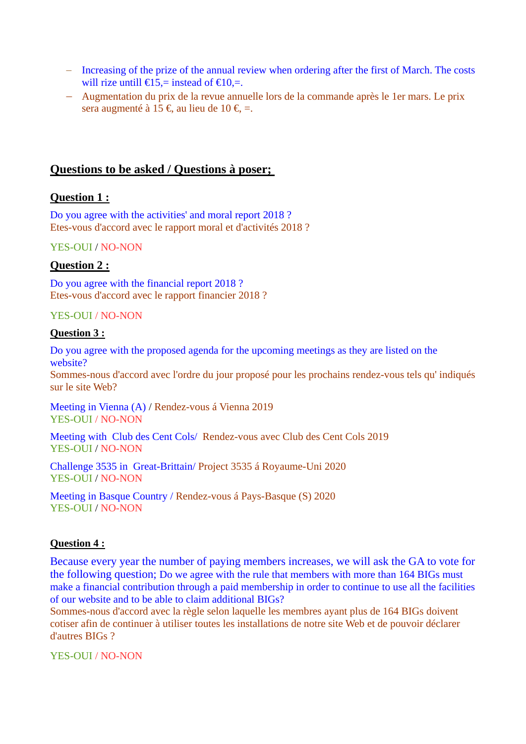- Increasing of the prize of the annual review when ordering after the first of March. The costs will rize untill  $\bigoplus$  5,= instead of  $\bigoplus$  0,=.
- Augmentation du prix de la revue annuelle lors de la commande après le 1er mars. Le prix sera augmenté à 15  $\epsilon$ , au lieu de 10  $\epsilon$  =.

# **Questions to be asked / Questions à poser;**

## **Question 1 :**

Do you agree with the activities' and moral report 2018 ? Etes-vous d'accord avec le rapport moral et d'activités 2018 ?

#### YES-OUI / NO-NON

## **Question 2 :**

Do you agree with the financial report 2018 ? Etes-vous d'accord avec le rapport financier 2018 ?

#### YES-OUI / NO-NON

#### **Question 3 :**

Do you agree with the proposed agenda for the upcoming meetings as they are listed on the website?

Sommes-nous d'accord avec l'ordre du jour proposé pour les prochains rendez-vous tels qu' indiqués sur le site Web?

Meeting in Vienna (A) / Rendez-vous á Vienna 2019 YES-OUI / NO-NON

Meeting with Club des Cent Cols/ Rendez-vous avec Club des Cent Cols 2019 YES-OUI / NO-NON

Challenge 3535 in Great-Brittain/ Project 3535 á Royaume-Uni 2020 YES-OUI / NO-NON

Meeting in Basque Country / Rendez-vous á Pays-Basque (S) 2020 YES-OUI / NO-NON

## **Question 4 :**

Because every year the number of paying members increases, we will ask the GA to vote for the following question; Do we agree with the rule that members with more than 164 BIGs must make a financial contribution through a paid membership in order to continue to use all the facilities of our website and to be able to claim additional BIGs?

Sommes-nous d'accord avec la règle selon laquelle les membres ayant plus de 164 BIGs doivent cotiser afin de continuer à utiliser toutes les installations de notre site Web et de pouvoir déclarer d'autres BIGs ?

YES-OUL / NO-NON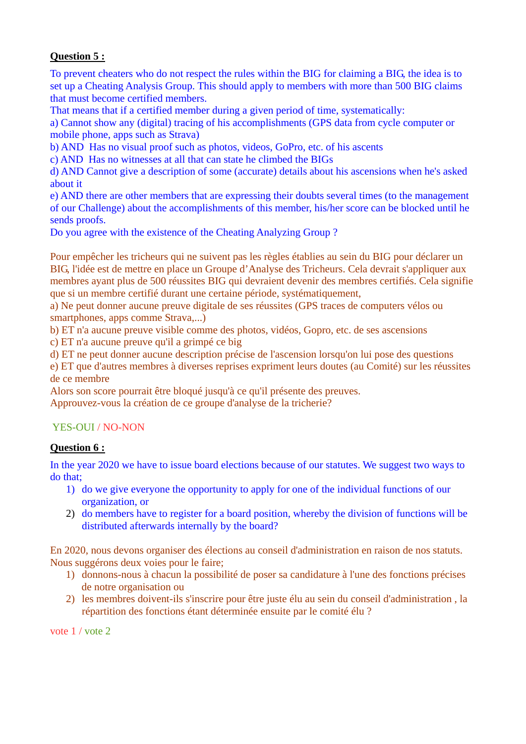## **Question 5 :**

To prevent cheaters who do not respect the rules within the BIG for claiming a BIG, the idea is to set up a Cheating Analysis Group. This should apply to members with more than 500 BIG claims that must become certified members.

That means that if a certified member during a given period of time, systematically:

a) Cannot show any (digital) tracing of his accomplishments (GPS data from cycle computer or mobile phone, apps such as Strava)

b) AND Has no visual proof such as photos, videos, GoPro, etc. of his ascents

c) AND Has no witnesses at all that can state he climbed the BIGs

d) AND Cannot give a description of some (accurate) details about his ascensions when he's asked about it

e) AND there are other members that are expressing their doubts several times (to the management of our Challenge) about the accomplishments of this member, his/her score can be blocked until he sends proofs.

Do you agree with the existence of the Cheating Analyzing Group ?

Pour empêcher les tricheurs qui ne suivent pas les règles établies au sein du BIG pour déclarer un BIG, l'idée est de mettre en place un Groupe d'Analyse des Tricheurs. Cela devrait s'appliquer aux membres ayant plus de 500 réussites BIG qui devraient devenir des membres certifiés. Cela signifie que si un membre certifié durant une certaine période, systématiquement,

a) Ne peut donner aucune preuve digitale de ses réussites (GPS traces de computers vélos ou smartphones, apps comme Strava,...)

b) ET n'a aucune preuve visible comme des photos, vidéos, Gopro, etc. de ses ascensions

c) ET n'a aucune preuve qu'il a grimpé ce big

d) ET ne peut donner aucune description précise de l'ascension lorsqu'on lui pose des questions

e) ET que d'autres membres à diverses reprises expriment leurs doutes (au Comité) sur les réussites de ce membre

Alors son score pourrait être bloqué jusqu'à ce qu'il présente des preuves.

Approuvez-vous la création de ce groupe d'analyse de la tricherie?

# YES-OUI / NO-NON

## **Question 6 :**

In the year 2020 we have to issue board elections because of our statutes. We suggest two ways to do that;

- 1) do we give everyone the opportunity to apply for one of the individual functions of our organization, or
- 2) do members have to register for a board position, whereby the division of functions will be distributed afterwards internally by the board?

En 2020, nous devons organiser des élections au conseil d'administration en raison de nos statuts. Nous suggérons deux voies pour le faire;

- 1) donnons-nous à chacun la possibilité de poser sa candidature à l'une des fonctions précises de notre organisation ou
- 2) les membres doivent-ils s'inscrire pour être juste élu au sein du conseil d'administration , la répartition des fonctions étant déterminée ensuite par le comité élu ?

vote 1 / vote 2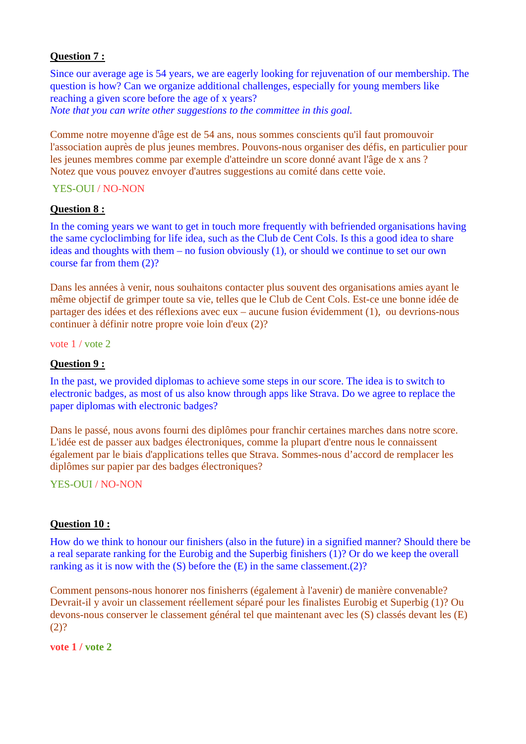#### **Question 7 :**

Since our average age is 54 years, we are eagerly looking for rejuvenation of our membership. The question is how? Can we organize additional challenges, especially for young members like reaching a given score before the age of x years? *Note that you can write other suggestions to the committee in this goal.* 

Comme notre moyenne d'âge est de 54 ans, nous sommes conscients qu'il faut promouvoir l'association auprès de plus jeunes membres. Pouvons-nous organiser des défis, en particulier pour les jeunes membres comme par exemple d'atteindre un score donné avant l'âge de x ans ? Notez que vous pouvez envoyer d'autres suggestions au comité dans cette voie.

## YES-OUI / NO-NON

#### **Question 8 :**

In the coming years we want to get in touch more frequently with befriended organisations having the same cycloclimbing for life idea, such as the Club de Cent Cols. Is this a good idea to share ideas and thoughts with them – no fusion obviously (1), or should we continue to set our own course far from them (2)?

Dans les années à venir, nous souhaitons contacter plus souvent des organisations amies ayant le même objectif de grimper toute sa vie, telles que le Club de Cent Cols. Est-ce une bonne idée de partager des idées et des réflexions avec eux – aucune fusion évidemment (1), ou devrions-nous continuer à définir notre propre voie loin d'eux (2)?

vote 1 / vote 2

## **Question 9 :**

In the past, we provided diplomas to achieve some steps in our score. The idea is to switch to electronic badges, as most of us also know through apps like Strava. Do we agree to replace the paper diplomas with electronic badges?

Dans le passé, nous avons fourni des diplômes pour franchir certaines marches dans notre score. L'idée est de passer aux badges électroniques, comme la plupart d'entre nous le connaissent également par le biais d'applications telles que Strava. Sommes-nous d'accord de remplacer les diplômes sur papier par des badges électroniques?

YES-OUI / NO-NON

#### **Question 10 :**

How do we think to honour our finishers (also in the future) in a signified manner? Should there be a real separate ranking for the Eurobig and the Superbig finishers (1)? Or do we keep the overall ranking as it is now with the (S) before the (E) in the same classement.(2)?

Comment pensons-nous honorer nos finisherrs (également à l'avenir) de manière convenable? Devrait-il y avoir un classement réellement séparé pour les finalistes Eurobig et Superbig (1)? Ou devons-nous conserver le classement général tel que maintenant avec les (S) classés devant les (E)  $(2)?$ 

**vote 1 / vote 2**